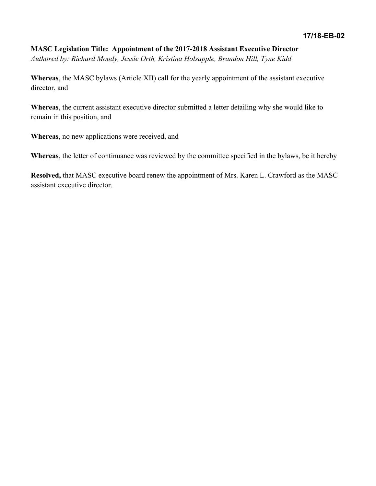## **MASC Legislation Title: Appointment of the 2017-2018 Assistant Executive Director** *Authored by: Richard Moody, Jessie Orth, Kristina Holsapple, Brandon Hill, Tyne Kidd*

**Whereas**, the MASC bylaws (Article XII) call for the yearly appointment of the assistant executive director, and

**Whereas**, the current assistant executive director submitted a letter detailing why she would like to remain in this position, and

**Whereas**, no new applications were received, and

**Whereas**, the letter of continuance was reviewed by the committee specified in the bylaws, be it hereby

**Resolved,** that MASC executive board renew the appointment of Mrs. Karen L. Crawford as the MASC assistant executive director.